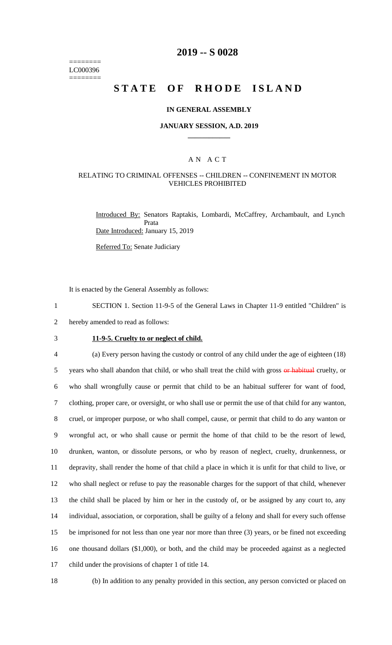======== LC000396 ========

## **2019 -- S 0028**

# **STATE OF RHODE ISLAND**

#### **IN GENERAL ASSEMBLY**

#### **JANUARY SESSION, A.D. 2019 \_\_\_\_\_\_\_\_\_\_\_\_**

#### A N A C T

#### RELATING TO CRIMINAL OFFENSES -- CHILDREN -- CONFINEMENT IN MOTOR VEHICLES PROHIBITED

Introduced By: Senators Raptakis, Lombardi, McCaffrey, Archambault, and Lynch Prata Date Introduced: January 15, 2019

Referred To: Senate Judiciary

It is enacted by the General Assembly as follows:

1 SECTION 1. Section 11-9-5 of the General Laws in Chapter 11-9 entitled "Children" is 2 hereby amended to read as follows:

- 
- 

## 3 **11-9-5. Cruelty to or neglect of child.**

 (a) Every person having the custody or control of any child under the age of eighteen (18) 5 years who shall abandon that child, or who shall treat the child with gross or habitual cruelty, or who shall wrongfully cause or permit that child to be an habitual sufferer for want of food, clothing, proper care, or oversight, or who shall use or permit the use of that child for any wanton, cruel, or improper purpose, or who shall compel, cause, or permit that child to do any wanton or wrongful act, or who shall cause or permit the home of that child to be the resort of lewd, drunken, wanton, or dissolute persons, or who by reason of neglect, cruelty, drunkenness, or depravity, shall render the home of that child a place in which it is unfit for that child to live, or who shall neglect or refuse to pay the reasonable charges for the support of that child, whenever the child shall be placed by him or her in the custody of, or be assigned by any court to, any individual, association, or corporation, shall be guilty of a felony and shall for every such offense be imprisoned for not less than one year nor more than three (3) years, or be fined not exceeding one thousand dollars (\$1,000), or both, and the child may be proceeded against as a neglected child under the provisions of chapter 1 of title 14.

18 (b) In addition to any penalty provided in this section, any person convicted or placed on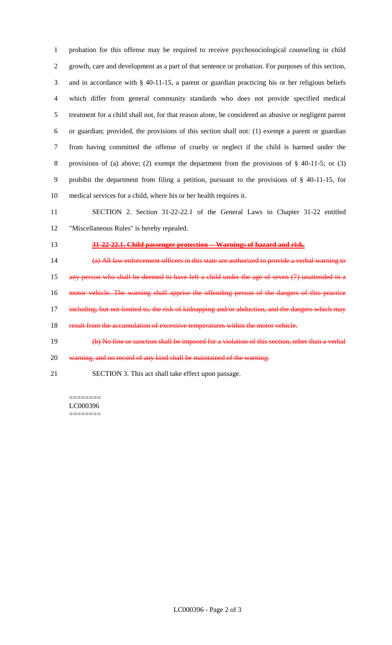probation for this offense may be required to receive psychosociological counseling in child growth, care and development as a part of that sentence or probation. For purposes of this section, and in accordance with § 40-11-15, a parent or guardian practicing his or her religious beliefs which differ from general community standards who does not provide specified medical treatment for a child shall not, for that reason alone, be considered an abusive or negligent parent or guardian; provided, the provisions of this section shall not: (1) exempt a parent or guardian from having committed the offense of cruelty or neglect if the child is harmed under the provisions of (a) above; (2) exempt the department from the provisions of § 40-11-5; or (3) prohibit the department from filing a petition, pursuant to the provisions of § 40-11-15, for medical services for a child, where his or her health requires it.

 SECTION 2. Section 31-22-22.1 of the General Laws in Chapter 31-22 entitled "Miscellaneous Rules" is hereby repealed.

#### **31-22-22.1. Child passenger protection -- Warnings of hazard and risk.**

(a) All law enforcement officers in this state are authorized to provide a verbal warning to

any person who shall be deemed to have left a child under the age of seven (7) unattended in a

motor vehicle. The warning shall apprise the offending person of the dangers of this practice

17 including, but not limited to, the risk of kidnapping and/or abduction, and the dangers which may

result from the accumulation of excessive temperatures within the motor vehicle.

(b) No fine or sanction shall be imposed for a violation of this section, other than a verbal

20 warning, and no record of any kind shall be maintained of the warning.

SECTION 3. This act shall take effect upon passage.

======== LC000396 ========